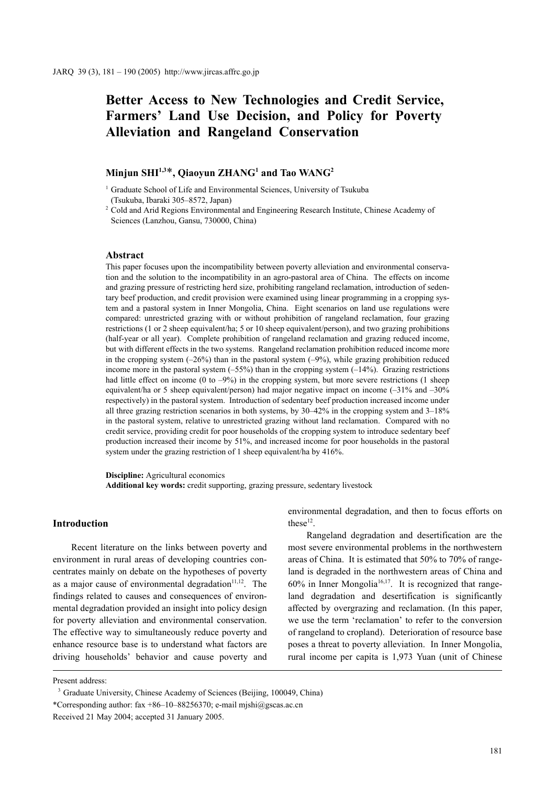# **Better Access to New Technologies and Credit Service, Farmers' Land Use Decision, and Policy for Poverty Alleviation and Rangeland Conservation**

## $\mathbf{Minjun \: SHI^{1,3*}, Qiaoyun \: ZHANG^{1}}$  and Tao  $\mathbf{WANG^{2}}$

<sup>1</sup> Graduate School of Life and Environmental Sciences, University of Tsukuba (Tsukuba, Ibaraki 305–8572, Japan)

<sup>2</sup> Cold and Arid Regions Environmental and Engineering Research Institute, Chinese Academy of Sciences (Lanzhou, Gansu, 730000, China)

#### **Abstract**

This paper focuses upon the incompatibility between poverty alleviation and environmental conservation and the solution to the incompatibility in an agro-pastoral area of China. The effects on income and grazing pressure of restricting herd size, prohibiting rangeland reclamation, introduction of sedentary beef production, and credit provision were examined using linear programming in a cropping system and a pastoral system in Inner Mongolia, China. Eight scenarios on land use regulations were compared: unrestricted grazing with or without prohibition of rangeland reclamation, four grazing restrictions (1 or 2 sheep equivalent/ha; 5 or 10 sheep equivalent/person), and two grazing prohibitions (half-year or all year). Complete prohibition of rangeland reclamation and grazing reduced income, but with different effects in the two systems. Rangeland reclamation prohibition reduced income more in the cropping system  $(-26%)$  than in the pastoral system  $(-9%)$ , while grazing prohibition reduced income more in the pastoral system  $(-55%)$  than in the cropping system  $(-14%)$ . Grazing restrictions had little effect on income (0 to  $-9\%$ ) in the cropping system, but more severe restrictions (1 sheep equivalent/ha or 5 sheep equivalent/person) had major negative impact on income (–31% and –30% respectively) in the pastoral system. Introduction of sedentary beef production increased income under all three grazing restriction scenarios in both systems, by 30–42% in the cropping system and 3–18% in the pastoral system, relative to unrestricted grazing without land reclamation. Compared with no credit service, providing credit for poor households of the cropping system to introduce sedentary beef production increased their income by 51%, and increased income for poor households in the pastoral system under the grazing restriction of 1 sheep equivalent/ha by 416%.

**Discipline:** Agricultural economics **Additional key words:** credit supporting, grazing pressure, sedentary livestock

#### **Introduction**

Recent literature on the links between poverty and environment in rural areas of developing countries concentrates mainly on debate on the hypotheses of poverty as a major cause of environmental degradation $11,12$ . The findings related to causes and consequences of environmental degradation provided an insight into policy design for poverty alleviation and environmental conservation. The effective way to simultaneously reduce poverty and enhance resource base is to understand what factors are driving households' behavior and cause poverty and environmental degradation, and then to focus efforts on these<sup>12</sup>.

Rangeland degradation and desertification are the most severe environmental problems in the northwestern areas of China. It is estimated that 50% to 70% of rangeland is degraded in the northwestern areas of China and  $60\%$  in Inner Mongolia<sup>16,17</sup>. It is recognized that rangeland degradation and desertification is significantly affected by overgrazing and reclamation. (In this paper, we use the term 'reclamation' to refer to the conversion of rangeland to cropland). Deterioration of resource base poses a threat to poverty alleviation. In Inner Mongolia, rural income per capita is 1,973 Yuan (unit of Chinese

Present address:

<sup>&</sup>lt;sup>3</sup> Graduate University, Chinese Academy of Sciences (Beijing, 100049, China) \*Corresponding author:  $\frac{2x + 86 - 10 - 88256370}{x}$  e-mail mishi@gscas.ac.cn Received 21 May 2004; accepted 31 January 2005.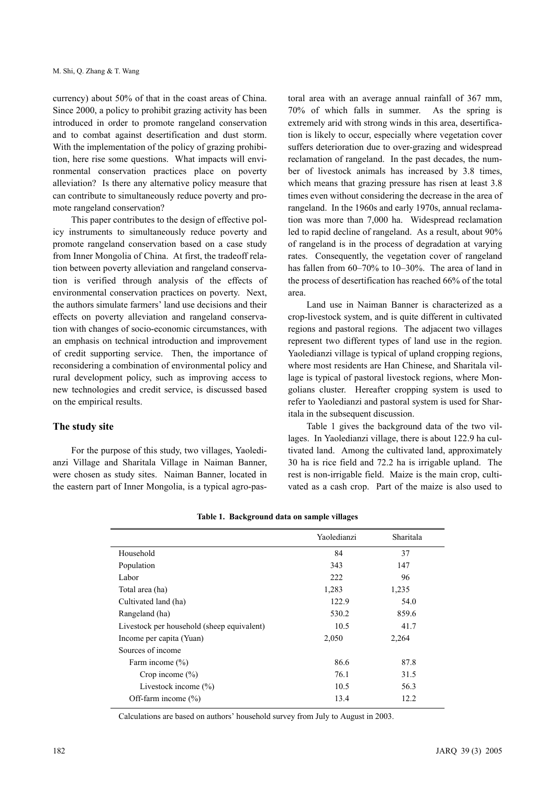currency) about 50% of that in the coast areas of China. Since 2000, a policy to prohibit grazing activity has been introduced in order to promote rangeland conservation and to combat against desertification and dust storm. With the implementation of the policy of grazing prohibition, here rise some questions. What impacts will environmental conservation practices place on poverty alleviation? Is there any alternative policy measure that can contribute to simultaneously reduce poverty and promote rangeland conservation?

This paper contributes to the design of effective policy instruments to simultaneously reduce poverty and promote rangeland conservation based on a case study from Inner Mongolia of China. At first, the tradeoff relation between poverty alleviation and rangeland conservation is verified through analysis of the effects of environmental conservation practices on poverty. Next, the authors simulate farmers' land use decisions and their effects on poverty alleviation and rangeland conservation with changes of socio-economic circumstances, with an emphasis on technical introduction and improvement of credit supporting service. Then, the importance of reconsidering a combination of environmental policy and rural development policy, such as improving access to new technologies and credit service, is discussed based on the empirical results.

## **The study site**

For the purpose of this study, two villages, Yaoledianzi Village and Sharitala Village in Naiman Banner, were chosen as study sites. Naiman Banner, located in the eastern part of Inner Mongolia, is a typical agro-pastoral area with an average annual rainfall of 367 mm, 70% of which falls in summer. As the spring is extremely arid with strong winds in this area, desertification is likely to occur, especially where vegetation cover suffers deterioration due to over-grazing and widespread reclamation of rangeland. In the past decades, the number of livestock animals has increased by 3.8 times, which means that grazing pressure has risen at least 3.8 times even without considering the decrease in the area of rangeland. In the 1960s and early 1970s, annual reclamation was more than 7,000 ha. Widespread reclamation led to rapid decline of rangeland. As a result, about 90% of rangeland is in the process of degradation at varying rates. Consequently, the vegetation cover of rangeland has fallen from 60–70% to 10–30%. The area of land in the process of desertification has reached 66% of the total area.

Land use in Naiman Banner is characterized as a crop-livestock system, and is quite different in cultivated regions and pastoral regions. The adjacent two villages represent two different types of land use in the region. Yaoledianzi village is typical of upland cropping regions, where most residents are Han Chinese, and Sharitala village is typical of pastoral livestock regions, where Mongolians cluster. Hereafter cropping system is used to refer to Yaoledianzi and pastoral system is used for Sharitala in the subsequent discussion.

Table 1 gives the background data of the two villages. In Yaoledianzi village, there is about 122.9 ha cultivated land. Among the cultivated land, approximately 30 ha is rice field and 72.2 ha is irrigable upland. The rest is non-irrigable field. Maize is the main crop, cultivated as a cash crop. Part of the maize is also used to

|                                            | Yaoledianzi | Sharitala |
|--------------------------------------------|-------------|-----------|
| Household                                  | 84          | 37        |
| Population                                 | 343         | 147       |
| Labor                                      | 222         | 96        |
| Total area (ha)                            | 1,283       | 1,235     |
| Cultivated land (ha)                       | 122.9       | 54.0      |
| Rangeland (ha)                             | 530.2       | 859.6     |
| Livestock per household (sheep equivalent) | 10.5        | 41.7      |
| Income per capita (Yuan)                   | 2,050       | 2,264     |
| Sources of income                          |             |           |
| Farm income $(\% )$                        | 86.6        | 87.8      |
| Crop income $(\% )$                        | 76.1        | 31.5      |
| Livestock income $(\% )$                   | 10.5        | 56.3      |
| Off-farm income $(\% )$                    | 13.4        | 12.2      |

| Table 1. Background data on sample villages |  |  |
|---------------------------------------------|--|--|
|                                             |  |  |

Calculations are based on authors' household survey from July to August in 2003.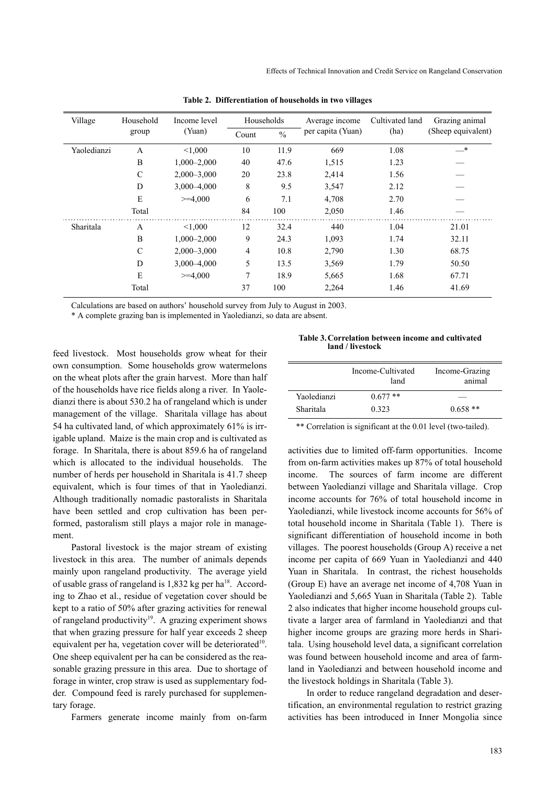| Village     | Household     | Income level    |       | Households    | Average income    | Cultivated land | Grazing animal     |
|-------------|---------------|-----------------|-------|---------------|-------------------|-----------------|--------------------|
|             | group         | (Yuan)          | Count | $\frac{0}{0}$ | per capita (Yuan) | (ha)            | (Sheep equivalent) |
| Yaoledianzi | A             | < 1,000         | 10    | 11.9          | 669               | 1.08            | $-^*$              |
|             | B             | $1,000 - 2,000$ | 40    | 47.6          | 1,515             | 1.23            |                    |
|             | $\mathcal{C}$ | $2,000 - 3,000$ | 20    | 23.8          | 2,414             | 1.56            |                    |
|             | D             | $3,000 - 4,000$ | 8     | 9.5           | 3,547             | 2.12            |                    |
|             | E             | $>=$ 4.000      | 6     | 7.1           | 4,708             | 2.70            |                    |
|             | Total         |                 | 84    | 100           | 2,050             | 1.46            |                    |
| Sharitala   | A             | < 1.000         | 12    | 32.4          | 440               | 1.04            | 21.01              |
|             | B             | $1,000 - 2,000$ | 9     | 24.3          | 1,093             | 1.74            | 32.11              |
|             | $\mathcal{C}$ | $2,000 - 3,000$ | 4     | 10.8          | 2,790             | 1.30            | 68.75              |
|             | D             | $3,000 - 4,000$ | 5     | 13.5          | 3,569             | 1.79            | 50.50              |
|             | E             | $>=$ 4.000      | 7     | 18.9          | 5,665             | 1.68            | 67.71              |
|             | Total         |                 | 37    | 100           | 2,264             | 1.46            | 41.69              |

**Table 2. Differentiation of households in two villages**

Calculations are based on authors' household survey from July to August in 2003.

\* A complete grazing ban is implemented in Yaoledianzi, so data are absent.

feed livestock. Most households grow wheat for their own consumption. Some households grow watermelons on the wheat plots after the grain harvest. More than half of the households have rice fields along a river. In Yaoledianzi there is about 530.2 ha of rangeland which is under management of the village. Sharitala village has about 54 ha cultivated land, of which approximately 61% is irrigable upland. Maize is the main crop and is cultivated as forage. In Sharitala, there is about 859.6 ha of rangeland which is allocated to the individual households. The number of herds per household in Sharitala is 41.7 sheep equivalent, which is four times of that in Yaoledianzi. Although traditionally nomadic pastoralists in Sharitala have been settled and crop cultivation has been performed, pastoralism still plays a major role in management.

Pastoral livestock is the major stream of existing livestock in this area. The number of animals depends mainly upon rangeland productivity. The average yield of usable grass of rangeland is  $1,832$  kg per ha<sup>18</sup>. According to Zhao et al., residue of vegetation cover should be kept to a ratio of 50% after grazing activities for renewal of rangeland productivity<sup>19</sup>. A grazing experiment shows that when grazing pressure for half year exceeds 2 sheep equivalent per ha, vegetation cover will be deteriorated $10$ . One sheep equivalent per ha can be considered as the reasonable grazing pressure in this area. Due to shortage of forage in winter, crop straw is used as supplementary fodder. Compound feed is rarely purchased for supplementary forage.

Farmers generate income mainly from on-farm

**Table 3.Correlation between income and cultivated land / livestock**

|                          | Income-Cultivated<br>land | Income-Grazing<br>animal |
|--------------------------|---------------------------|--------------------------|
| Yaoledianzi<br>Sharitala | $0.677**$<br>0.323        | $0.658**$                |

\*\* Correlation is significant at the 0.01 level (two-tailed).

activities due to limited off-farm opportunities. Income from on-farm activities makes up 87% of total household income. The sources of farm income are different between Yaoledianzi village and Sharitala village. Crop income accounts for 76% of total household income in Yaoledianzi, while livestock income accounts for 56% of total household income in Sharitala (Table 1). There is significant differentiation of household income in both villages. The poorest households (Group A) receive a net income per capita of 669 Yuan in Yaoledianzi and 440 Yuan in Sharitala. In contrast, the richest households (Group E) have an average net income of 4,708 Yuan in Yaoledianzi and 5,665 Yuan in Sharitala (Table 2). Table 2 also indicates that higher income household groups cultivate a larger area of farmland in Yaoledianzi and that higher income groups are grazing more herds in Sharitala. Using household level data, a significant correlation was found between household income and area of farmland in Yaoledianzi and between household income and the livestock holdings in Sharitala (Table 3).

In order to reduce rangeland degradation and desertification, an environmental regulation to restrict grazing activities has been introduced in Inner Mongolia since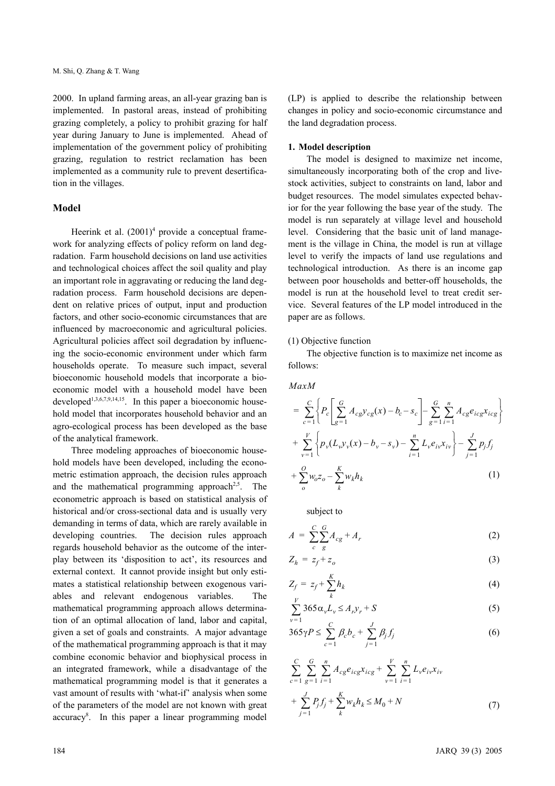2000. In upland farming areas, an all-year grazing ban is implemented. In pastoral areas, instead of prohibiting grazing completely, a policy to prohibit grazing for half year during January to June is implemented. Ahead of implementation of the government policy of prohibiting grazing, regulation to restrict reclamation has been implemented as a community rule to prevent desertification in the villages.

## **Model**

Heerink et al.  $(2001)^4$  provide a conceptual framework for analyzing effects of policy reform on land degradation. Farm household decisions on land use activities and technological choices affect the soil quality and play an important role in aggravating or reducing the land degradation process. Farm household decisions are dependent on relative prices of output, input and production factors, and other socio-economic circumstances that are influenced by macroeconomic and agricultural policies. Agricultural policies affect soil degradation by influencing the socio-economic environment under which farm households operate. To measure such impact, several bioeconomic household models that incorporate a bioeconomic model with a household model have been developed<sup>1,3,6,7,9,14,15</sup>. In this paper a bioeconomic household model that incorporates household behavior and an agro-ecological process has been developed as the base of the analytical framework.

Three modeling approaches of bioeconomic household models have been developed, including the econometric estimation approach, the decision rules approach and the mathematical programming approach<sup>2,5</sup>. The econometric approach is based on statistical analysis of historical and/or cross-sectional data and is usually very demanding in terms of data, which are rarely available in developing countries. The decision rules approach regards household behavior as the outcome of the interplay between its 'disposition to act', its resources and external context. It cannot provide insight but only estimates a statistical relationship between exogenous variables and relevant endogenous variables. The mathematical programming approach allows determination of an optimal allocation of land, labor and capital, given a set of goals and constraints. A major advantage of the mathematical programming approach is that it may combine economic behavior and biophysical process in an integrated framework, while a disadvantage of the mathematical programming model is that it generates a vast amount of results with 'what-if' analysis when some of the parameters of the model are not known with great accuracy<sup>8</sup>. In this paper a linear programming model

(LP) is applied to describe the relationship between changes in policy and socio-economic circumstance and the land degradation process.

#### **1. Model description**

The model is designed to maximize net income, simultaneously incorporating both of the crop and livestock activities, subject to constraints on land, labor and budget resources. The model simulates expected behavior for the year following the base year of the study. The model is run separately at village level and household level. Considering that the basic unit of land management is the village in China, the model is run at village level to verify the impacts of land use regulations and technological introduction. As there is an income gap between poor households and better-off households, the model is run at the household level to treat credit service. Several features of the LP model introduced in the paper are as follows.

## (1) Objective function

The objective function is to maximize net income as follows:

*MaxM*

$$
= \sum_{c=1}^{C} \left\{ P_c \left[ \sum_{g=1}^{G} A_{cg} y_{cg}(x) - b_c - s_c \right] - \sum_{g=1}^{G} \sum_{i=1}^{n} A_{cg} e_{icg} x_{icg} \right\} + \sum_{\nu=1}^{V} \left\{ p_{\nu} (L_{\nu} y_{\nu}(x) - b_{\nu} - s_{\nu}) - \sum_{i=1}^{n} L_{\nu} e_{i\nu} x_{i\nu} \right\} - \sum_{j=1}^{J} p_j f_j + \sum_{o}^{O} w_o z_o - \sum_{k}^{K} w_k h_k
$$
 (1)

subject to

$$
A = \sum_{c}^{C} \sum_{g}^{G} A_{cg} + A_r \tag{2}
$$

$$
Z_h = z_f + z_o \tag{3}
$$

$$
Z_f = z_f + \sum_k^K h_k \tag{4}
$$

$$
\sum_{v=1}^{V} 365 \alpha_v L_v \le A_r y_r + S \tag{5}
$$

$$
365\gamma P \le \sum_{c=1}^{C} \beta_c b_c + \sum_{j=1}^{J} \beta_j f_j \tag{6}
$$

$$
\sum_{c=1}^{C} \sum_{g=1}^{G} \sum_{i=1}^{n} A_{cg} e_{icg} x_{icg} + \sum_{v=1}^{V} \sum_{i=1}^{n} L_{v} e_{iv} x_{iv}
$$
  
+ 
$$
\sum_{j=1}^{J} P_{j} f_{j} + \sum_{k}^{K} w_{k} h_{k} \le M_{0} + N
$$
(7)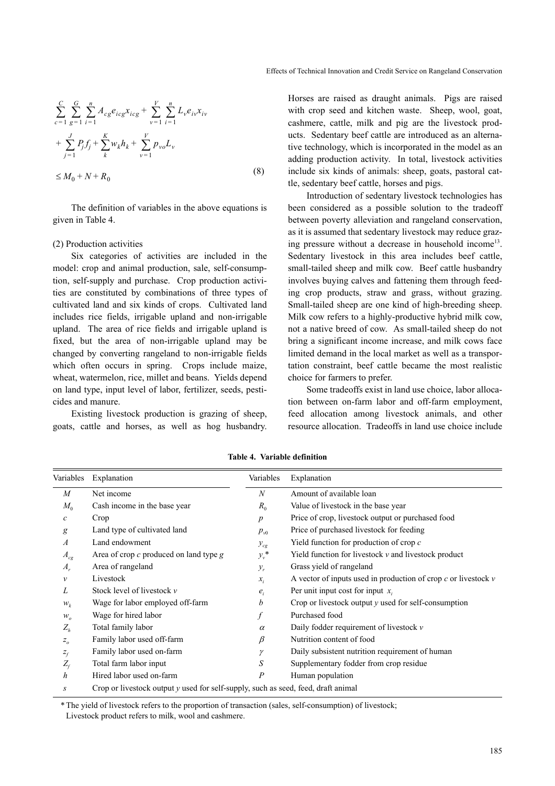$$
\sum_{c=1}^{C} \sum_{g=1}^{G} \sum_{i=1}^{n} A_{cg} e_{icg} x_{icg} + \sum_{v=1}^{V} \sum_{i=1}^{n} L_{v} e_{iv} x_{iv}
$$
  
+ 
$$
\sum_{j=1}^{J} P_{j} f_{j} + \sum_{k}^{K} w_{k} h_{k} + \sum_{v=1}^{V} p_{vo} L_{v}
$$
  

$$
\leq M_{0} + N + R_{0}
$$
 (8)

The definition of variables in the above equations is given in Table 4.

## (2) Production activities

Six categories of activities are included in the model: crop and animal production, sale, self-consumption, self-supply and purchase. Crop production activities are constituted by combinations of three types of cultivated land and six kinds of crops. Cultivated land includes rice fields, irrigable upland and non-irrigable upland. The area of rice fields and irrigable upland is fixed, but the area of non-irrigable upland may be changed by converting rangeland to non-irrigable fields which often occurs in spring. Crops include maize, wheat, watermelon, rice, millet and beans. Yields depend on land type, input level of labor, fertilizer, seeds, pesticides and manure.

Existing livestock production is grazing of sheep, goats, cattle and horses, as well as hog husbandry. Horses are raised as draught animals. Pigs are raised with crop seed and kitchen waste. Sheep, wool, goat, cashmere, cattle, milk and pig are the livestock products. Sedentary beef cattle are introduced as an alternative technology, which is incorporated in the model as an adding production activity. In total, livestock activities include six kinds of animals: sheep, goats, pastoral cattle, sedentary beef cattle, horses and pigs.

Introduction of sedentary livestock technologies has been considered as a possible solution to the tradeoff between poverty alleviation and rangeland conservation, as it is assumed that sedentary livestock may reduce grazing pressure without a decrease in household income<sup>13</sup>. Sedentary livestock in this area includes beef cattle, small-tailed sheep and milk cow. Beef cattle husbandry involves buying calves and fattening them through feeding crop products, straw and grass, without grazing. Small-tailed sheep are one kind of high-breeding sheep. Milk cow refers to a highly-productive hybrid milk cow, not a native breed of cow. As small-tailed sheep do not bring a significant income increase, and milk cows face limited demand in the local market as well as a transportation constraint, beef cattle became the most realistic choice for farmers to prefer.

Some tradeoffs exist in land use choice, labor allocation between on-farm labor and off-farm employment, feed allocation among livestock animals, and other resource allocation. Tradeoffs in land use choice include

|                | Variables Explanation                                                             | Variables        | Explanation                                                        |
|----------------|-----------------------------------------------------------------------------------|------------------|--------------------------------------------------------------------|
| $\overline{M}$ | Net income                                                                        | N                | Amount of available loan                                           |
| $M_0$          | Cash income in the base year                                                      | $R_0$            | Value of livestock in the base year                                |
| C              | Crop                                                                              | $\boldsymbol{p}$ | Price of crop, livestock output or purchased food                  |
| g              | Land type of cultivated land                                                      | $p_{v0}$         | Price of purchased livestock for feeding                           |
| $\overline{A}$ | Land endowment                                                                    | $y_{cg}$         | Yield function for production of crop $c$                          |
| $A_{cg}$       | Area of crop $c$ produced on land type $g$                                        | $y_v^*$          | Yield function for livestock $\nu$ and livestock product           |
| $A_{r}$        | Area of rangeland                                                                 | $y_r$            | Grass yield of rangeland                                           |
| v              | Livestock                                                                         | $x_i$            | A vector of inputs used in production of crop $c$ or livestock $v$ |
| L              | Stock level of livestock $\nu$                                                    | $e_i$            | Per unit input cost for input $x_i$                                |
| $W_k$          | Wage for labor employed off-farm                                                  | b                | Crop or livestock output $y$ used for self-consumption             |
| $W_{\alpha}$   | Wage for hired labor                                                              |                  | Purchased food                                                     |
| $Z_h$          | Total family labor                                                                | $\alpha$         | Daily fodder requirement of livestock $\nu$                        |
| $Z_{\alpha}$   | Family labor used off-farm                                                        | $\beta$          | Nutrition content of food                                          |
| $Z_f$          | Family labor used on-farm                                                         | γ                | Daily subsistent nutrition requirement of human                    |
| $Z_f$          | Total farm labor input                                                            | S                | Supplementary fodder from crop residue                             |
| h              | Hired labor used on-farm                                                          | $\overline{P}$   | Human population                                                   |
| S              | Crop or livestock output y used for self-supply, such as seed, feed, draft animal |                  |                                                                    |

**Table 4. Variable definition**

\* The yield of livestock refers to the proportion of transaction (sales, self-consumption) of livestock; Livestock product refers to milk, wool and cashmere.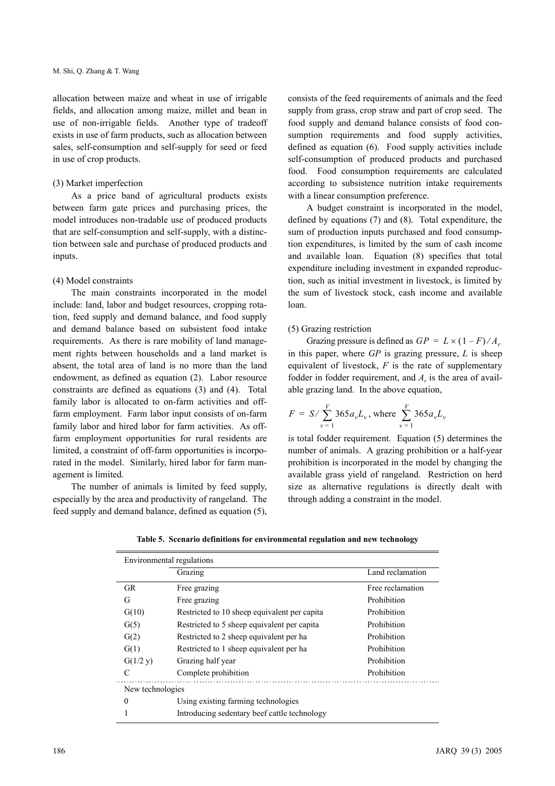allocation between maize and wheat in use of irrigable fields, and allocation among maize, millet and bean in use of non-irrigable fields. Another type of tradeoff exists in use of farm products, such as allocation between sales, self-consumption and self-supply for seed or feed in use of crop products.

## (3) Market imperfection

As a price band of agricultural products exists between farm gate prices and purchasing prices, the model introduces non-tradable use of produced products that are self-consumption and self-supply, with a distinction between sale and purchase of produced products and inputs.

## (4) Model constraints

The main constraints incorporated in the model include: land, labor and budget resources, cropping rotation, feed supply and demand balance, and food supply and demand balance based on subsistent food intake requirements. As there is rare mobility of land management rights between households and a land market is absent, the total area of land is no more than the land endowment, as defined as equation (2). Labor resource constraints are defined as equations (3) and (4). Total family labor is allocated to on-farm activities and offfarm employment. Farm labor input consists of on-farm family labor and hired labor for farm activities. As offfarm employment opportunities for rural residents are limited, a constraint of off-farm opportunities is incorporated in the model. Similarly, hired labor for farm management is limited.

The number of animals is limited by feed supply, especially by the area and productivity of rangeland. The feed supply and demand balance, defined as equation (5), consists of the feed requirements of animals and the feed supply from grass, crop straw and part of crop seed. The food supply and demand balance consists of food consumption requirements and food supply activities, defined as equation (6). Food supply activities include self-consumption of produced products and purchased food. Food consumption requirements are calculated according to subsistence nutrition intake requirements with a linear consumption preference.

A budget constraint is incorporated in the model, defined by equations (7) and (8). Total expenditure, the sum of production inputs purchased and food consumption expenditures, is limited by the sum of cash income and available loan. Equation (8) specifies that total expenditure including investment in expanded reproduction, such as initial investment in livestock, is limited by the sum of livestock stock, cash income and available loan.

## (5) Grazing restriction

Grazing pressure is defined as  $GP = L \times (1 - F) / A_r$ in this paper, where *GP* is grazing pressure, *L* is sheep equivalent of livestock, *F* is the rate of supplementary fodder in fodder requirement, and  $A<sub>r</sub>$  is the area of available grazing land. In the above equation,

$$
F = S / \sum_{v=1}^{V} 365 a_v L_v
$$
, where  $\sum_{v=1}^{V} 365 a_v L_v$ 

is total fodder requirement. Equation (5) determines the number of animals. A grazing prohibition or a half-year prohibition is incorporated in the model by changing the available grass yield of rangeland. Restriction on herd size as alternative regulations is directly dealt with through adding a constraint in the model.

|  |  |  | Table 5. Scenario definitions for environmental regulation and new technology |
|--|--|--|-------------------------------------------------------------------------------|
|  |  |  |                                                                               |

|                  | Environmental regulations                    |                  |
|------------------|----------------------------------------------|------------------|
|                  | Grazing                                      | Land reclamation |
| <b>GR</b>        | Free grazing                                 | Free reclamation |
| G                | Free grazing                                 | Prohibition      |
| G(10)            | Restricted to 10 sheep equivalent per capita | Prohibition      |
| G(5)             | Restricted to 5 sheep equivalent per capita  | Prohibition      |
| G(2)             | Restricted to 2 sheep equivalent per ha      | Prohibition      |
| G(1)             | Restricted to 1 sheep equivalent per ha      | Prohibition      |
| G(1/2 y)         | Grazing half year                            | Prohibition      |
| C                | Complete prohibition                         | Prohibition      |
| New technologies |                                              |                  |
| $\theta$         | Using existing farming technologies          |                  |
|                  | Introducing sedentary beef cattle technology |                  |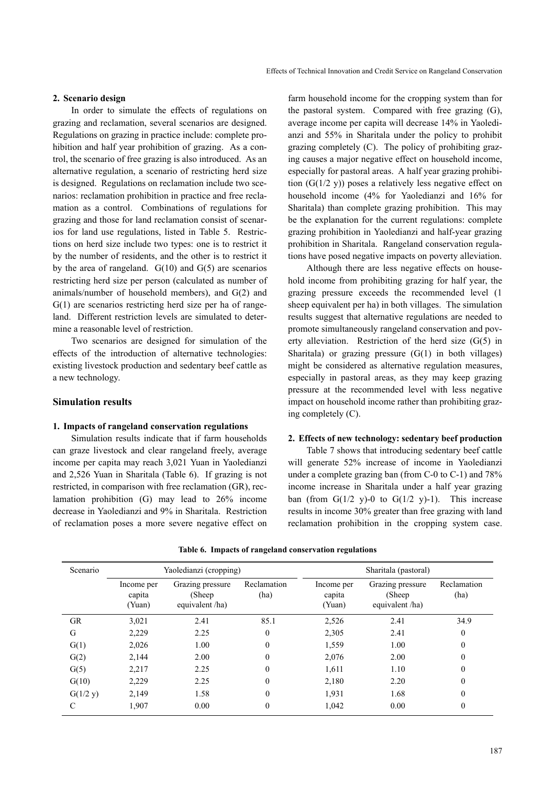## **2. Scenario design**

In order to simulate the effects of regulations on grazing and reclamation, several scenarios are designed. Regulations on grazing in practice include: complete prohibition and half year prohibition of grazing. As a control, the scenario of free grazing is also introduced. As an alternative regulation, a scenario of restricting herd size is designed. Regulations on reclamation include two scenarios: reclamation prohibition in practice and free reclamation as a control. Combinations of regulations for grazing and those for land reclamation consist of scenarios for land use regulations, listed in Table 5. Restrictions on herd size include two types: one is to restrict it by the number of residents, and the other is to restrict it by the area of rangeland.  $G(10)$  and  $G(5)$  are scenarios restricting herd size per person (calculated as number of animals/number of household members), and G(2) and G(1) are scenarios restricting herd size per ha of rangeland. Different restriction levels are simulated to determine a reasonable level of restriction.

Two scenarios are designed for simulation of the effects of the introduction of alternative technologies: existing livestock production and sedentary beef cattle as a new technology.

## **Simulation results**

## **1. Impacts of rangeland conservation regulations**

Simulation results indicate that if farm households can graze livestock and clear rangeland freely, average income per capita may reach 3,021 Yuan in Yaoledianzi and 2,526 Yuan in Sharitala (Table 6). If grazing is not restricted, in comparison with free reclamation (GR), reclamation prohibition (G) may lead to 26% income decrease in Yaoledianzi and 9% in Sharitala. Restriction of reclamation poses a more severe negative effect on

farm household income for the cropping system than for the pastoral system. Compared with free grazing (G), average income per capita will decrease 14% in Yaoledianzi and 55% in Sharitala under the policy to prohibit grazing completely (C). The policy of prohibiting grazing causes a major negative effect on household income, especially for pastoral areas. A half year grazing prohibition  $(G(1/2 y))$  poses a relatively less negative effect on household income (4% for Yaoledianzi and 16% for Sharitala) than complete grazing prohibition. This may be the explanation for the current regulations: complete grazing prohibition in Yaoledianzi and half-year grazing prohibition in Sharitala. Rangeland conservation regulations have posed negative impacts on poverty alleviation.

Although there are less negative effects on household income from prohibiting grazing for half year, the grazing pressure exceeds the recommended level (1 sheep equivalent per ha) in both villages. The simulation results suggest that alternative regulations are needed to promote simultaneously rangeland conservation and poverty alleviation. Restriction of the herd size (G(5) in Sharitala) or grazing pressure  $(G(1))$  in both villages) might be considered as alternative regulation measures, especially in pastoral areas, as they may keep grazing pressure at the recommended level with less negative impact on household income rather than prohibiting grazing completely (C).

#### **2. Effects of new technology: sedentary beef production**

Table 7 shows that introducing sedentary beef cattle will generate 52% increase of income in Yaoledianzi under a complete grazing ban (from C-0 to C-1) and 78% income increase in Sharitala under a half year grazing ban (from  $G(1/2 y)-0$  to  $G(1/2 y)-1$ ). This increase results in income 30% greater than free grazing with land reclamation prohibition in the cropping system case.

| Scenario  |                                | Yaoledianzi (cropping)                         |                     | Sharitala (pastoral)           |                                               |                     |  |
|-----------|--------------------------------|------------------------------------------------|---------------------|--------------------------------|-----------------------------------------------|---------------------|--|
|           | Income per<br>capita<br>(Yuan) | Grazing pressure<br>(Sheep)<br>equivalent /ha) | Reclamation<br>(ha) | Income per<br>capita<br>(Yuan) | Grazing pressure<br>(Sheep)<br>equivalent/ha) | Reclamation<br>(ha) |  |
| <b>GR</b> | 3,021                          | 2.41                                           | 85.1                | 2,526                          | 2.41                                          | 34.9                |  |
| G         | 2,229                          | 2.25                                           | $\Omega$            | 2,305                          | 2.41                                          | $\theta$            |  |
| G(1)      | 2,026                          | 1.00                                           | 0                   | 1,559                          | 1.00                                          | $\theta$            |  |
| G(2)      | 2,144                          | 2.00                                           | 0                   | 2,076                          | 2.00                                          | 0                   |  |
| G(5)      | 2,217                          | 2.25                                           | 0                   | 1,611                          | 1.10                                          | $\theta$            |  |
| G(10)     | 2,229                          | 2.25                                           | 0                   | 2,180                          | 2.20                                          | $\theta$            |  |
| G(1/2 y)  | 2,149                          | 1.58                                           | $\theta$            | 1,931                          | 1.68                                          | $\theta$            |  |
|           | 1,907                          | 0.00                                           | 0                   | 1,042                          | 0.00                                          | 0                   |  |

**Table 6. Impacts of rangeland conservation regulations**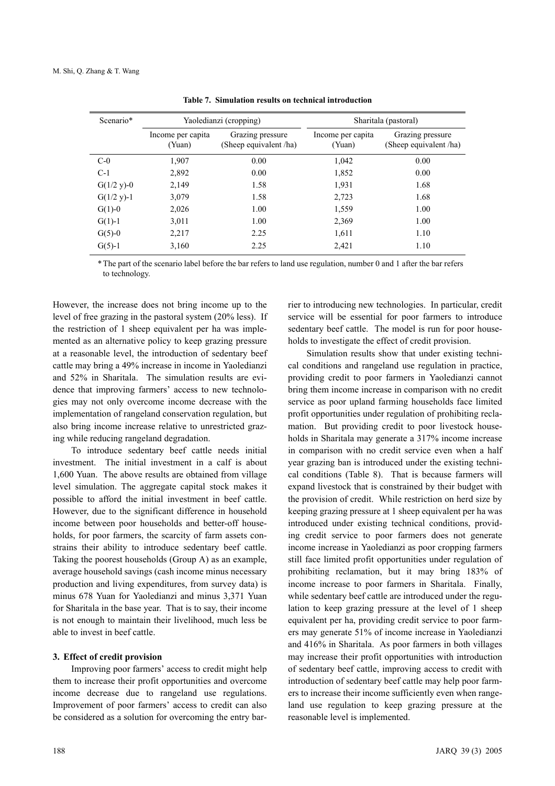| Scenario*     | Yaoledianzi (cropping)      |                                            |                             | Sharitala (pastoral)                       |
|---------------|-----------------------------|--------------------------------------------|-----------------------------|--------------------------------------------|
|               | Income per capita<br>(Yuan) | Grazing pressure<br>(Sheep equivalent /ha) | Income per capita<br>(Yuan) | Grazing pressure<br>(Sheep equivalent /ha) |
| $C-0$         | 1,907                       | 0.00                                       | 1,042                       | 0.00                                       |
| $C-1$         | 2,892                       | 0.00                                       | 1,852                       | 0.00                                       |
| $G(1/2 y)-0$  | 2,149                       | 1.58                                       | 1,931                       | 1.68                                       |
| $G(1/2 y)$ -1 | 3,079                       | 1.58                                       | 2,723                       | 1.68                                       |
| $G(1)-0$      | 2,026                       | 1.00                                       | 1,559                       | 1.00                                       |
| $G(1)-1$      | 3,011                       | 1.00                                       | 2,369                       | 1.00                                       |
| $G(5)-0$      | 2,217                       | 2.25                                       | 1,611                       | 1.10                                       |
| $G(5) - 1$    | 3,160                       | 2.25                                       | 2,421                       | 1.10                                       |

|  |  |  | Table 7. Simulation results on technical introduction |
|--|--|--|-------------------------------------------------------|
|--|--|--|-------------------------------------------------------|

\* The part of the scenario label before the bar refers to land use regulation, number 0 and 1 after the bar refers to technology.

However, the increase does not bring income up to the level of free grazing in the pastoral system (20% less). If the restriction of 1 sheep equivalent per ha was implemented as an alternative policy to keep grazing pressure at a reasonable level, the introduction of sedentary beef cattle may bring a 49% increase in income in Yaoledianzi and 52% in Sharitala. The simulation results are evidence that improving farmers' access to new technologies may not only overcome income decrease with the implementation of rangeland conservation regulation, but also bring income increase relative to unrestricted grazing while reducing rangeland degradation.

To introduce sedentary beef cattle needs initial investment. The initial investment in a calf is about 1,600 Yuan. The above results are obtained from village level simulation. The aggregate capital stock makes it possible to afford the initial investment in beef cattle. However, due to the significant difference in household income between poor households and better-off households, for poor farmers, the scarcity of farm assets constrains their ability to introduce sedentary beef cattle. Taking the poorest households (Group A) as an example, average household savings (cash income minus necessary production and living expenditures, from survey data) is minus 678 Yuan for Yaoledianzi and minus 3,371 Yuan for Sharitala in the base year. That is to say, their income is not enough to maintain their livelihood, much less be able to invest in beef cattle.

## **3. Effect of credit provision**

Improving poor farmers' access to credit might help them to increase their profit opportunities and overcome income decrease due to rangeland use regulations. Improvement of poor farmers' access to credit can also be considered as a solution for overcoming the entry barrier to introducing new technologies. In particular, credit service will be essential for poor farmers to introduce sedentary beef cattle. The model is run for poor households to investigate the effect of credit provision.

Simulation results show that under existing technical conditions and rangeland use regulation in practice, providing credit to poor farmers in Yaoledianzi cannot bring them income increase in comparison with no credit service as poor upland farming households face limited profit opportunities under regulation of prohibiting reclamation. But providing credit to poor livestock households in Sharitala may generate a 317% income increase in comparison with no credit service even when a half year grazing ban is introduced under the existing technical conditions (Table 8). That is because farmers will expand livestock that is constrained by their budget with the provision of credit. While restriction on herd size by keeping grazing pressure at 1 sheep equivalent per ha was introduced under existing technical conditions, providing credit service to poor farmers does not generate income increase in Yaoledianzi as poor cropping farmers still face limited profit opportunities under regulation of prohibiting reclamation, but it may bring 183% of income increase to poor farmers in Sharitala. Finally, while sedentary beef cattle are introduced under the regulation to keep grazing pressure at the level of 1 sheep equivalent per ha, providing credit service to poor farmers may generate 51% of income increase in Yaoledianzi and 416% in Sharitala. As poor farmers in both villages may increase their profit opportunities with introduction of sedentary beef cattle, improving access to credit with introduction of sedentary beef cattle may help poor farmers to increase their income sufficiently even when rangeland use regulation to keep grazing pressure at the reasonable level is implemented.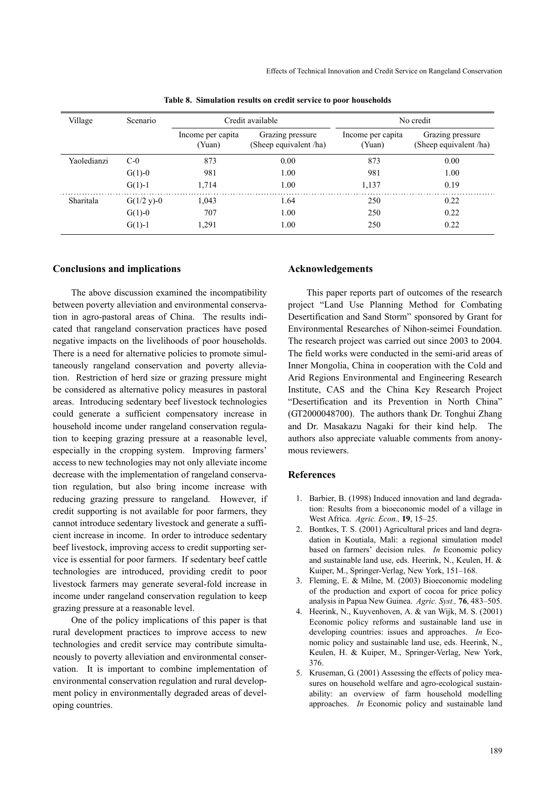| Village     | Scenario                    | Credit available                           |                             | No credit                                  |      |  |
|-------------|-----------------------------|--------------------------------------------|-----------------------------|--------------------------------------------|------|--|
|             | Income per capita<br>(Yuan) | Grazing pressure<br>(Sheep equivalent /ha) | Income per capita<br>(Yuan) | Grazing pressure<br>(Sheep equivalent /ha) |      |  |
| Yaoledianzi | $C-0$                       | 873                                        | 0.00                        | 873                                        | 0.00 |  |
|             | $G(1)-0$                    | 981                                        | 1.00                        | 981                                        | 1.00 |  |
|             | $G(1) - 1$                  | 1,714                                      | 1.00                        | 1,137                                      | 0.19 |  |
| Sharitala   | $G(1/2 y)-0$                | 1,043                                      | 1.64                        | 250                                        | 0.22 |  |
|             | $G(1)-0$                    | 707                                        | 1.00                        | 250                                        | 0.22 |  |
|             | $G(1)-1$                    | 1,291                                      | 1.00                        | 250                                        | 0.22 |  |

**Table 8. Simulation results on credit service to poor households**

#### **Conclusions and implications**

The above discussion examined the incompatibility between poverty alleviation and environmental conservation in agro-pastoral areas of China. The results indicated that rangeland conservation practices have posed negative impacts on the livelihoods of poor households. There is a need for alternative policies to promote simultaneously rangeland conservation and poverty alleviation. Restriction of herd size or grazing pressure might be considered as alternative policy measures in pastoral areas. Introducing sedentary beef livestock technologies could generate a sufficient compensatory increase in household income under rangeland conservation regulation to keeping grazing pressure at a reasonable level, especially in the cropping system. Improving farmers' access to new technologies may not only alleviate income decrease with the implementation of rangeland conservation regulation, but also bring income increase with reducing grazing pressure to rangeland. However, if credit supporting is not available for poor farmers, they cannot introduce sedentary livestock and generate a sufficient increase in income. In order to introduce sedentary beef livestock, improving access to credit supporting service is essential for poor farmers. If sedentary beef cattle technologies are introduced, providing credit to poor livestock farmers may generate several-fold increase in income under rangeland conservation regulation to keep grazing pressure at a reasonable level.

One of the policy implications of this paper is that rural development practices to improve access to new technologies and credit service may contribute simultaneously to poverty alleviation and environmental conservation. It is important to combine implementation of environmental conservation regulation and rural development policy in environmentally degraded areas of developing countries.

## **Acknowledgements**

This paper reports part of outcomes of the research project "Land Use Planning Method for Combating Desertification and Sand Storm" sponsored by Grant for Environmental Researches of Nihon-seimei Foundation. The research project was carried out since 2003 to 2004. The field works were conducted in the semi-arid areas of Inner Mongolia, China in cooperation with the Cold and Arid Regions Environmental and Engineering Research Institute, CAS and the China Key Research Project "Desertification and its Prevention in North China" (GT2000048700). The authors thank Dr. Tonghui Zhang and Dr. Masakazu Nagaki for their kind help. The authors also appreciate valuable comments from anonymous reviewers.

## **References**

- 1. Barbier, B. (1998) Induced innovation and land degradation: Results from a bioeconomic model of a village in West Africa. *Agric. Econ.,* **19**, 15–25.
- 2. Bontkes, T. S. (2001) Agricultural prices and land degradation in Koutiala, Mali: a regional simulation model based on farmers' decision rules. *In* Economic policy and sustainable land use, eds. Heerink, N., Keulen, H. & Kuiper, M., Springer-Verlag, New York, 151–168.
- 3. Fleming, E. & Milne, M. (2003) Bioeconomic modeling of the production and export of cocoa for price policy analysis in Papua New Guinea. *Agric. Syst.,* **76**, 483–505.
- 4. Heerink, N., Kuyvenhoven, A. & van Wijk, M. S. (2001) Economic policy reforms and sustainable land use in developing countries: issues and approaches. *In* Economic policy and sustainable land use, eds. Heerink, N., Keulen, H. & Kuiper, M., Springer-Verlag, New York, 376.
- 5. Kruseman, G. (2001) Assessing the effects of policy measures on household welfare and agro-ecological sustainability: an overview of farm household modelling approaches. *In* Economic policy and sustainable land